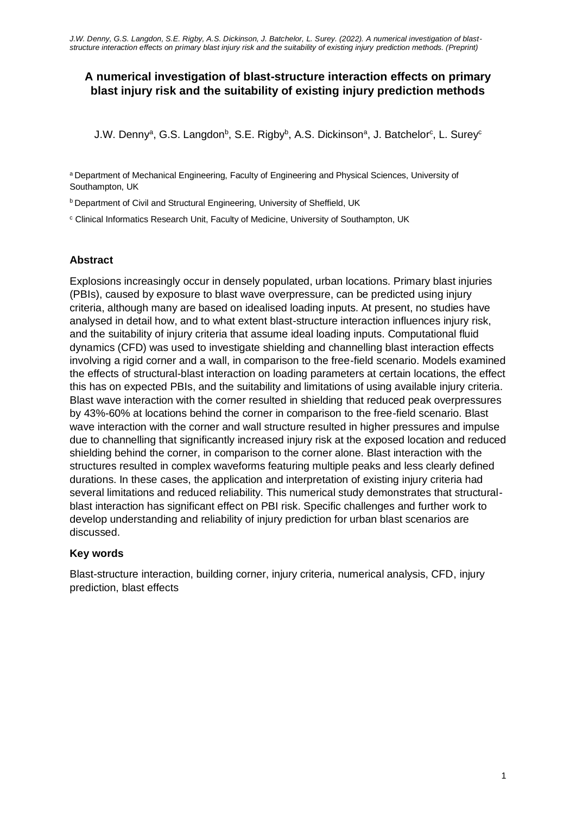# **A numerical investigation of blast-structure interaction effects on primary blast injury risk and the suitability of existing injury prediction methods**

J.W. Denny<sup>a</sup>, G.S. Langdon<sup>b</sup>, S.E. Rigby<sup>b</sup>, A.S. Dickinson<sup>a</sup>, J. Batchelor<sup>c</sup>, L. Surey<sup>c</sup>

<sup>a</sup> Department of Mechanical Engineering, Faculty of Engineering and Physical Sciences, University of Southampton, UK

b Department of Civil and Structural Engineering, University of Sheffield, UK

<sup>c</sup> Clinical Informatics Research Unit, Faculty of Medicine, University of Southampton, UK

#### **Abstract**

Explosions increasingly occur in densely populated, urban locations. Primary blast injuries (PBIs), caused by exposure to blast wave overpressure, can be predicted using injury criteria, although many are based on idealised loading inputs. At present, no studies have analysed in detail how, and to what extent blast-structure interaction influences injury risk, and the suitability of injury criteria that assume ideal loading inputs. Computational fluid dynamics (CFD) was used to investigate shielding and channelling blast interaction effects involving a rigid corner and a wall, in comparison to the free-field scenario. Models examined the effects of structural-blast interaction on loading parameters at certain locations, the effect this has on expected PBIs, and the suitability and limitations of using available injury criteria. Blast wave interaction with the corner resulted in shielding that reduced peak overpressures by 43%-60% at locations behind the corner in comparison to the free-field scenario. Blast wave interaction with the corner and wall structure resulted in higher pressures and impulse due to channelling that significantly increased injury risk at the exposed location and reduced shielding behind the corner, in comparison to the corner alone. Blast interaction with the structures resulted in complex waveforms featuring multiple peaks and less clearly defined durations. In these cases, the application and interpretation of existing injury criteria had several limitations and reduced reliability. This numerical study demonstrates that structuralblast interaction has significant effect on PBI risk. Specific challenges and further work to develop understanding and reliability of injury prediction for urban blast scenarios are discussed.

## **Key words**

Blast-structure interaction, building corner, injury criteria, numerical analysis, CFD, injury prediction, blast effects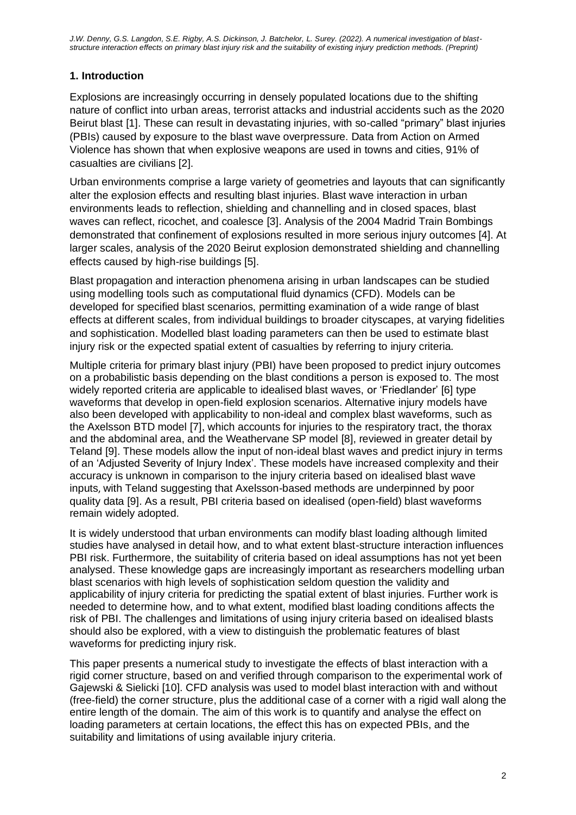# **1. Introduction**

Explosions are increasingly occurring in densely populated locations due to the shifting nature of conflict into urban areas, terrorist attacks and industrial accidents such as the 2020 Beirut blast [1]. These can result in devastating injuries, with so-called "primary" blast injuries (PBIs) caused by exposure to the blast wave overpressure. Data from Action on Armed Violence has shown that when explosive weapons are used in towns and cities, 91% of casualties are civilians [2].

Urban environments comprise a large variety of geometries and layouts that can significantly alter the explosion effects and resulting blast injuries. Blast wave interaction in urban environments leads to reflection, shielding and channelling and in closed spaces, blast waves can reflect, ricochet, and coalesce [3]. Analysis of the 2004 Madrid Train Bombings demonstrated that confinement of explosions resulted in more serious injury outcomes [4]. At larger scales, analysis of the 2020 Beirut explosion demonstrated shielding and channelling effects caused by high-rise buildings [5].

Blast propagation and interaction phenomena arising in urban landscapes can be studied using modelling tools such as computational fluid dynamics (CFD). Models can be developed for specified blast scenarios, permitting examination of a wide range of blast effects at different scales, from individual buildings to broader cityscapes, at varying fidelities and sophistication. Modelled blast loading parameters can then be used to estimate blast injury risk or the expected spatial extent of casualties by referring to injury criteria.

Multiple criteria for primary blast injury (PBI) have been proposed to predict injury outcomes on a probabilistic basis depending on the blast conditions a person is exposed to. The most widely reported criteria are applicable to idealised blast waves, or 'Friedlander' [6] type waveforms that develop in open-field explosion scenarios. Alternative injury models have also been developed with applicability to non-ideal and complex blast waveforms, such as the Axelsson BTD model [7], which accounts for injuries to the respiratory tract, the thorax and the abdominal area, and the Weathervane SP model [8], reviewed in greater detail by Teland [9]. These models allow the input of non-ideal blast waves and predict injury in terms of an 'Adjusted Severity of Injury Index'. These models have increased complexity and their accuracy is unknown in comparison to the injury criteria based on idealised blast wave inputs, with Teland suggesting that Axelsson-based methods are underpinned by poor quality data [9]. As a result, PBI criteria based on idealised (open-field) blast waveforms remain widely adopted.

It is widely understood that urban environments can modify blast loading although limited studies have analysed in detail how, and to what extent blast-structure interaction influences PBI risk. Furthermore, the suitability of criteria based on ideal assumptions has not yet been analysed. These knowledge gaps are increasingly important as researchers modelling urban blast scenarios with high levels of sophistication seldom question the validity and applicability of injury criteria for predicting the spatial extent of blast injuries. Further work is needed to determine how, and to what extent, modified blast loading conditions affects the risk of PBI. The challenges and limitations of using injury criteria based on idealised blasts should also be explored, with a view to distinguish the problematic features of blast waveforms for predicting injury risk.

This paper presents a numerical study to investigate the effects of blast interaction with a rigid corner structure, based on and verified through comparison to the experimental work of Gajewski & Sielicki [10]. CFD analysis was used to model blast interaction with and without (free-field) the corner structure, plus the additional case of a corner with a rigid wall along the entire length of the domain. The aim of this work is to quantify and analyse the effect on loading parameters at certain locations, the effect this has on expected PBIs, and the suitability and limitations of using available injury criteria.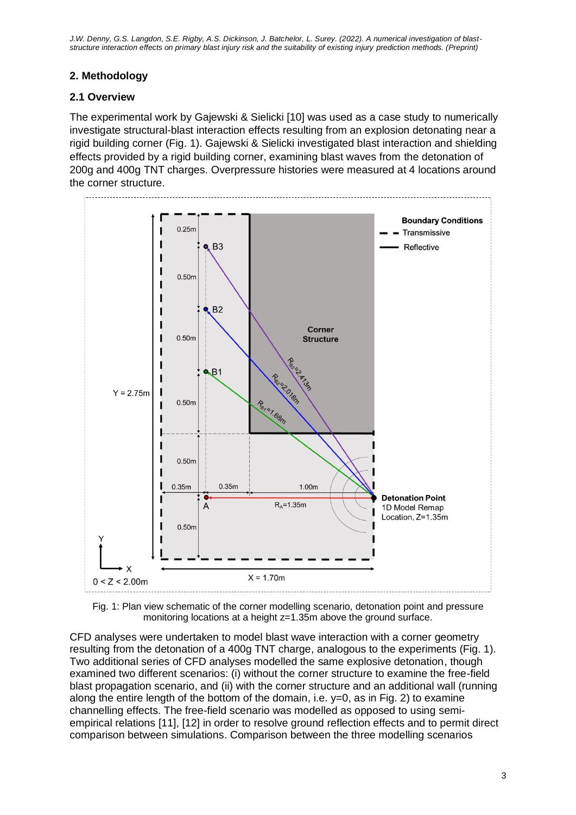*J.W. Denny, G.S. Langdon, S.E. Rigby, A.S. Dickinson, J. Batchelor, L. Surey. (2022). A numerical investigation of blaststructure interaction effects on primary blast injury risk and the suitability of existing injury prediction methods. (Preprint)*

# **2. Methodology**

## **2.1 Overview**

The experimental work by Gajewski & Sielicki [10] was used as a case study to numerically investigate structural-blast interaction effects resulting from an explosion detonating near a rigid building corner (Fig. 1). Gajewski & Sielicki investigated blast interaction and shielding effects provided by a rigid building corner, examining blast waves from the detonation of 200g and 400g TNT charges. Overpressure histories were measured at 4 locations around the corner structure.





CFD analyses were undertaken to model blast wave interaction with a corner geometry resulting from the detonation of a 400g TNT charge, analogous to the experiments (Fig. 1). Two additional series of CFD analyses modelled the same explosive detonation, though examined two different scenarios: (i) without the corner structure to examine the free-field blast propagation scenario, and (ii) with the corner structure and an additional wall (running along the entire length of the bottom of the domain, i.e.  $y=0$ , as in Fig. 2) to examine channelling effects. The free-field scenario was modelled as opposed to using semiempirical relations [11], [12] in order to resolve ground reflection effects and to permit direct comparison between simulations. Comparison between the three modelling scenarios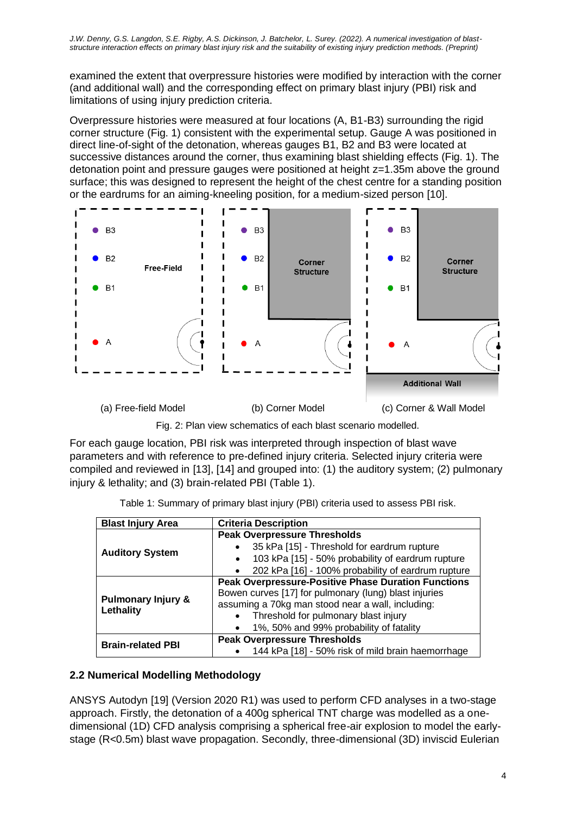examined the extent that overpressure histories were modified by interaction with the corner (and additional wall) and the corresponding effect on primary blast injury (PBI) risk and limitations of using injury prediction criteria.

Overpressure histories were measured at four locations (A, B1-B3) surrounding the rigid corner structure (Fig. 1) consistent with the experimental setup. Gauge A was positioned in direct line-of-sight of the detonation, whereas gauges B1, B2 and B3 were located at successive distances around the corner, thus examining blast shielding effects (Fig. 1). The detonation point and pressure gauges were positioned at height z=1.35m above the ground surface; this was designed to represent the height of the chest centre for a standing position or the eardrums for an aiming-kneeling position, for a medium-sized person [10].



Fig. 2: Plan view schematics of each blast scenario modelled.

For each gauge location, PBI risk was interpreted through inspection of blast wave parameters and with reference to pre-defined injury criteria. Selected injury criteria were compiled and reviewed in [13], [14] and grouped into: (1) the auditory system; (2) pulmonary injury & lethality; and (3) brain-related PBI (Table 1).

|  | Table 1: Summary of primary blast injury (PBI) criteria used to assess PBI risk. |  |  |  |  |
|--|----------------------------------------------------------------------------------|--|--|--|--|
|  |                                                                                  |  |  |  |  |

| <b>Blast Injury Area</b>                   | <b>Criteria Description</b>                                    |
|--------------------------------------------|----------------------------------------------------------------|
|                                            | <b>Peak Overpressure Thresholds</b>                            |
| <b>Auditory System</b>                     | 35 kPa [15] - Threshold for eardrum rupture                    |
|                                            | 103 kPa [15] - 50% probability of eardrum rupture<br>$\bullet$ |
|                                            | 202 kPa [16] - 100% probability of eardrum rupture             |
|                                            | <b>Peak Overpressure-Positive Phase Duration Functions</b>     |
|                                            | Bowen curves [17] for pulmonary (lung) blast injuries          |
| <b>Pulmonary Injury &amp;</b><br>Lethality | assuming a 70kg man stood near a wall, including:              |
|                                            | Threshold for pulmonary blast injury<br>$\bullet$              |
|                                            | 1%, 50% and 99% probability of fatality                        |
| <b>Brain-related PBI</b>                   | <b>Peak Overpressure Thresholds</b>                            |
|                                            | 144 kPa [18] - 50% risk of mild brain haemorrhage              |

# **2.2 Numerical Modelling Methodology**

ANSYS Autodyn [19] (Version 2020 R1) was used to perform CFD analyses in a two-stage approach. Firstly, the detonation of a 400g spherical TNT charge was modelled as a onedimensional (1D) CFD analysis comprising a spherical free-air explosion to model the earlystage (R<0.5m) blast wave propagation. Secondly, three-dimensional (3D) inviscid Eulerian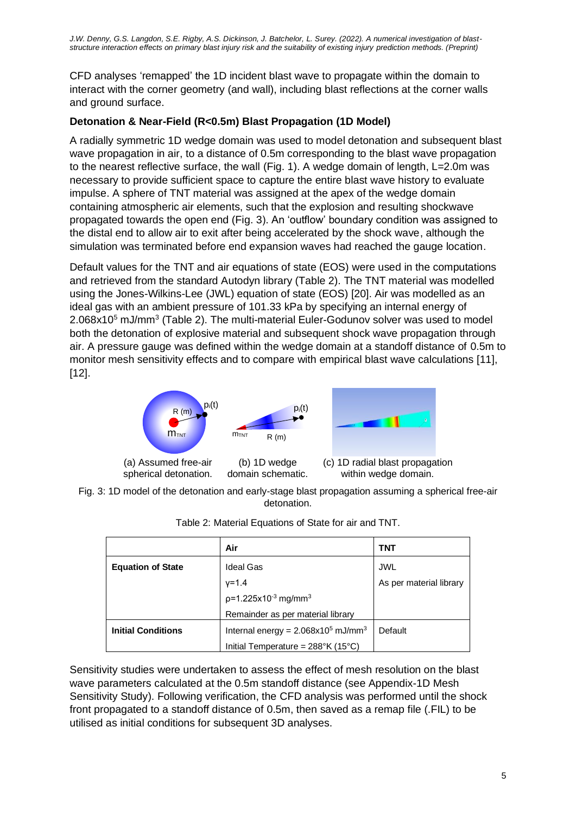CFD analyses 'remapped' the 1D incident blast wave to propagate within the domain to interact with the corner geometry (and wall), including blast reflections at the corner walls and ground surface.

# **Detonation & Near-Field (R<0.5m) Blast Propagation (1D Model)**

A radially symmetric 1D wedge domain was used to model detonation and subsequent blast wave propagation in air, to a distance of 0.5m corresponding to the blast wave propagation to the nearest reflective surface, the wall (Fig. 1). A wedge domain of length, L=2.0m was necessary to provide sufficient space to capture the entire blast wave history to evaluate impulse. A sphere of TNT material was assigned at the apex of the wedge domain containing atmospheric air elements, such that the explosion and resulting shockwave propagated towards the open end (Fig. 3). An 'outflow' boundary condition was assigned to the distal end to allow air to exit after being accelerated by the shock wave, although the simulation was terminated before end expansion waves had reached the gauge location.

Default values for the TNT and air equations of state (EOS) were used in the computations and retrieved from the standard Autodyn library (Table 2). The TNT material was modelled using the Jones-Wilkins-Lee (JWL) equation of state (EOS) [20]. Air was modelled as an ideal gas with an ambient pressure of 101.33 kPa by specifying an internal energy of 2.068x10<sup>5</sup> mJ/mm<sup>3</sup> (Table 2). The multi-material Euler-Godunov solver was used to model both the detonation of explosive material and subsequent shock wave propagation through air. A pressure gauge was defined within the wedge domain at a standoff distance of 0.5m to monitor mesh sensitivity effects and to compare with empirical blast wave calculations [11], [12].



Fig. 3: 1D model of the detonation and early-stage blast propagation assuming a spherical free-air detonation.

|                           | Air                                              | TNT                     |
|---------------------------|--------------------------------------------------|-------------------------|
| <b>Equation of State</b>  | <b>Ideal Gas</b>                                 | <b>JWL</b>              |
|                           | $v = 1.4$                                        | As per material library |
|                           | $p=1.225x10^{-3}$ mg/mm <sup>3</sup>             |                         |
|                           | Remainder as per material library                |                         |
| <b>Initial Conditions</b> | Internal energy = $2.068x105$ mJ/mm <sup>3</sup> | Default                 |
|                           | Initial Temperature = $288^{\circ}$ K (15°C)     |                         |

| Table 2: Material Equations of State for air and TNT. |  |
|-------------------------------------------------------|--|
|                                                       |  |

Sensitivity studies were undertaken to assess the effect of mesh resolution on the blast wave parameters calculated at the 0.5m standoff distance (see Appendix-1D Mesh Sensitivity Study). Following verification, the CFD analysis was performed until the shock front propagated to a standoff distance of 0.5m, then saved as a remap file (.FIL) to be utilised as initial conditions for subsequent 3D analyses.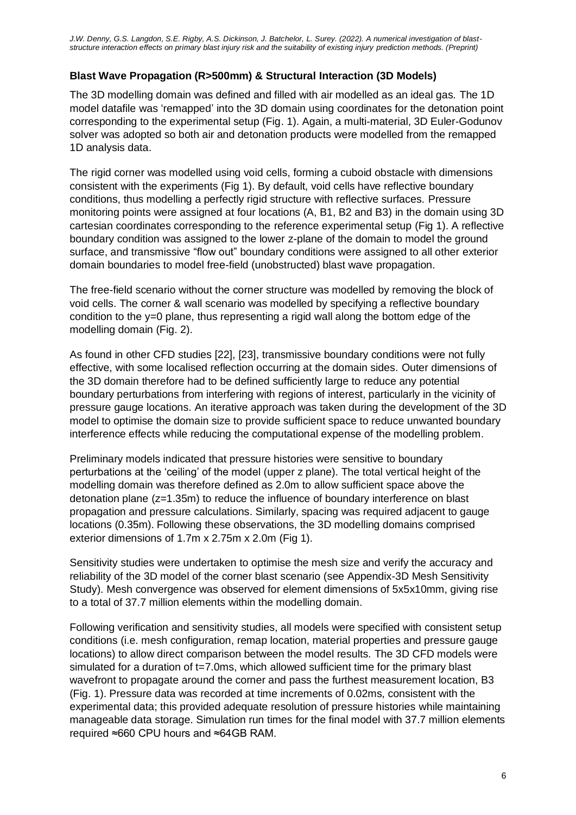# **Blast Wave Propagation (R>500mm) & Structural Interaction (3D Models)**

The 3D modelling domain was defined and filled with air modelled as an ideal gas. The 1D model datafile was 'remapped' into the 3D domain using coordinates for the detonation point corresponding to the experimental setup (Fig. 1). Again, a multi-material, 3D Euler-Godunov solver was adopted so both air and detonation products were modelled from the remapped 1D analysis data.

The rigid corner was modelled using void cells, forming a cuboid obstacle with dimensions consistent with the experiments (Fig 1). By default, void cells have reflective boundary conditions, thus modelling a perfectly rigid structure with reflective surfaces. Pressure monitoring points were assigned at four locations (A, B1, B2 and B3) in the domain using 3D cartesian coordinates corresponding to the reference experimental setup (Fig 1). A reflective boundary condition was assigned to the lower z-plane of the domain to model the ground surface, and transmissive "flow out" boundary conditions were assigned to all other exterior domain boundaries to model free-field (unobstructed) blast wave propagation.

The free-field scenario without the corner structure was modelled by removing the block of void cells. The corner & wall scenario was modelled by specifying a reflective boundary condition to the y=0 plane, thus representing a rigid wall along the bottom edge of the modelling domain (Fig. 2).

As found in other CFD studies [22], [23], transmissive boundary conditions were not fully effective, with some localised reflection occurring at the domain sides. Outer dimensions of the 3D domain therefore had to be defined sufficiently large to reduce any potential boundary perturbations from interfering with regions of interest, particularly in the vicinity of pressure gauge locations. An iterative approach was taken during the development of the 3D model to optimise the domain size to provide sufficient space to reduce unwanted boundary interference effects while reducing the computational expense of the modelling problem.

Preliminary models indicated that pressure histories were sensitive to boundary perturbations at the 'ceiling' of the model (upper z plane). The total vertical height of the modelling domain was therefore defined as 2.0m to allow sufficient space above the detonation plane (z=1.35m) to reduce the influence of boundary interference on blast propagation and pressure calculations. Similarly, spacing was required adjacent to gauge locations (0.35m). Following these observations, the 3D modelling domains comprised exterior dimensions of 1.7m x 2.75m x 2.0m (Fig 1).

Sensitivity studies were undertaken to optimise the mesh size and verify the accuracy and reliability of the 3D model of the corner blast scenario (see Appendix-3D Mesh Sensitivity Study). Mesh convergence was observed for element dimensions of 5x5x10mm, giving rise to a total of 37.7 million elements within the modelling domain.

Following verification and sensitivity studies, all models were specified with consistent setup conditions (i.e. mesh configuration, remap location, material properties and pressure gauge locations) to allow direct comparison between the model results. The 3D CFD models were simulated for a duration of t=7.0ms, which allowed sufficient time for the primary blast wavefront to propagate around the corner and pass the furthest measurement location, B3 (Fig. 1). Pressure data was recorded at time increments of 0.02ms, consistent with the experimental data; this provided adequate resolution of pressure histories while maintaining manageable data storage. Simulation run times for the final model with 37.7 million elements required ≈660 CPU hours and ≈64GB RAM.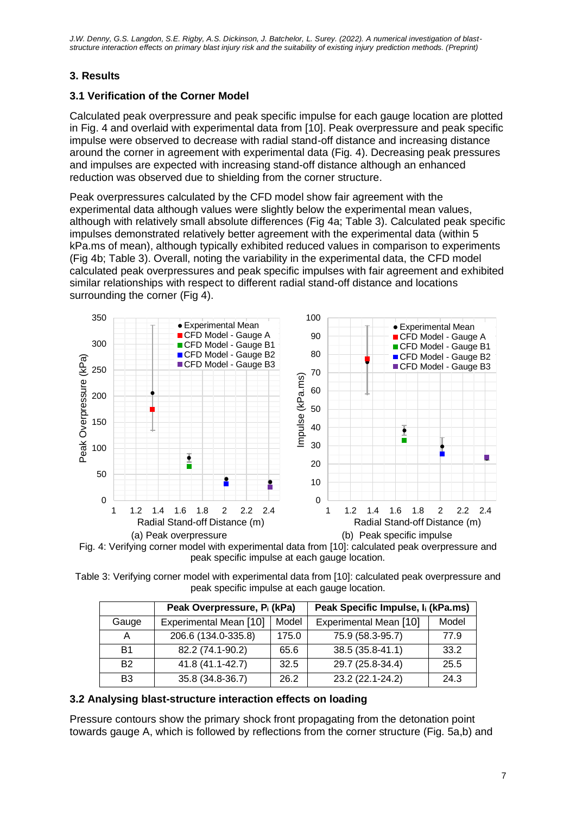# **3. Results**

# **3.1 Verification of the Corner Model**

Calculated peak overpressure and peak specific impulse for each gauge location are plotted in Fig. 4 and overlaid with experimental data from [10]. Peak overpressure and peak specific impulse were observed to decrease with radial stand-off distance and increasing distance around the corner in agreement with experimental data (Fig. 4). Decreasing peak pressures and impulses are expected with increasing stand-off distance although an enhanced reduction was observed due to shielding from the corner structure.

Peak overpressures calculated by the CFD model show fair agreement with the experimental data although values were slightly below the experimental mean values, although with relatively small absolute differences (Fig 4a; Table 3). Calculated peak specific impulses demonstrated relatively better agreement with the experimental data (within 5 kPa.ms of mean), although typically exhibited reduced values in comparison to experiments (Fig 4b; Table 3). Overall, noting the variability in the experimental data, the CFD model calculated peak overpressures and peak specific impulses with fair agreement and exhibited similar relationships with respect to different radial stand-off distance and locations surrounding the corner (Fig 4).





|                                               | Table 3: Verifying corner model with experimental data from [10]: calculated peak overpressure and |
|-----------------------------------------------|----------------------------------------------------------------------------------------------------|
| peak specific impulse at each gauge location. |                                                                                                    |

|                | Peak Overpressure, P <sub>i</sub> (kPa) |       | Peak Specific Impulse, I <sub>i</sub> (kPa.ms) |       |
|----------------|-----------------------------------------|-------|------------------------------------------------|-------|
| Gauge          | Experimental Mean [10]                  | Model | Experimental Mean [10]                         | Model |
| А              | 206.6 (134.0-335.8)                     | 175.0 | 75.9 (58.3-95.7)                               | 77.9  |
| B <sub>1</sub> | 82.2 (74.1-90.2)                        | 65.6  | 38.5 (35.8-41.1)                               | 33.2  |
| <b>B2</b>      | 41.8 (41.1-42.7)                        | 32.5  | 29.7 (25.8-34.4)                               | 25.5  |
| B <sub>3</sub> | 35.8 (34.8-36.7)                        | 26.2  | 23.2 (22.1-24.2)                               | 24.3  |

## **3.2 Analysing blast-structure interaction effects on loading**

Pressure contours show the primary shock front propagating from the detonation point towards gauge A, which is followed by reflections from the corner structure (Fig. 5a,b) and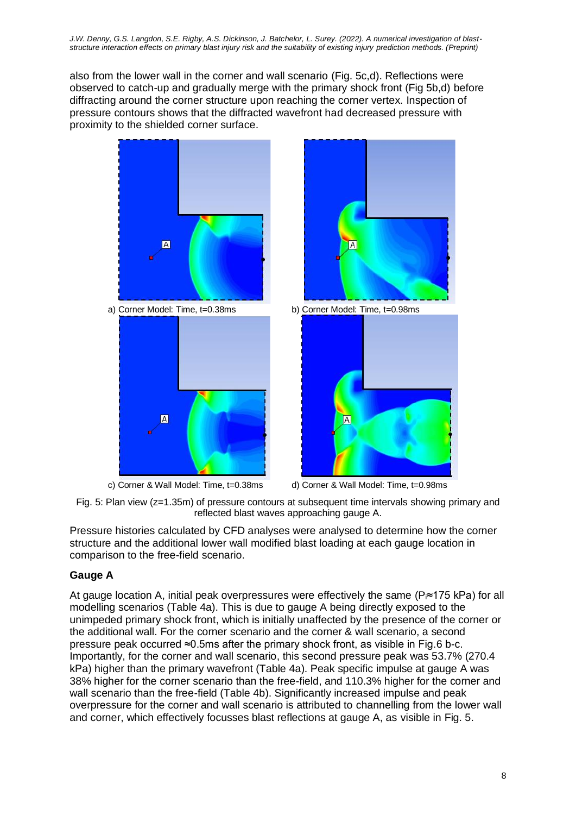also from the lower wall in the corner and wall scenario (Fig. 5c,d). Reflections were observed to catch-up and gradually merge with the primary shock front (Fig 5b,d) before diffracting around the corner structure upon reaching the corner vertex. Inspection of pressure contours shows that the diffracted wavefront had decreased pressure with proximity to the shielded corner surface.



c) Corner & Wall Model: Time, t=0.38ms d) Corner & Wall Model: Time, t=0.98ms

Fig. 5: Plan view (z=1.35m) of pressure contours at subsequent time intervals showing primary and reflected blast waves approaching gauge A.

Pressure histories calculated by CFD analyses were analysed to determine how the corner structure and the additional lower wall modified blast loading at each gauge location in comparison to the free-field scenario.

## **Gauge A**

At gauge location A, initial peak overpressures were effectively the same ( $P_i \approx 175$  kPa) for all modelling scenarios (Table 4a). This is due to gauge A being directly exposed to the unimpeded primary shock front, which is initially unaffected by the presence of the corner or the additional wall. For the corner scenario and the corner & wall scenario, a second pressure peak occurred ≈0.5ms after the primary shock front, as visible in Fig.6 b-c. Importantly, for the corner and wall scenario, this second pressure peak was 53.7% (270.4 kPa) higher than the primary wavefront (Table 4a). Peak specific impulse at gauge A was 38% higher for the corner scenario than the free-field, and 110.3% higher for the corner and wall scenario than the free-field (Table 4b). Significantly increased impulse and peak overpressure for the corner and wall scenario is attributed to channelling from the lower wall and corner, which effectively focusses blast reflections at gauge A, as visible in Fig. 5.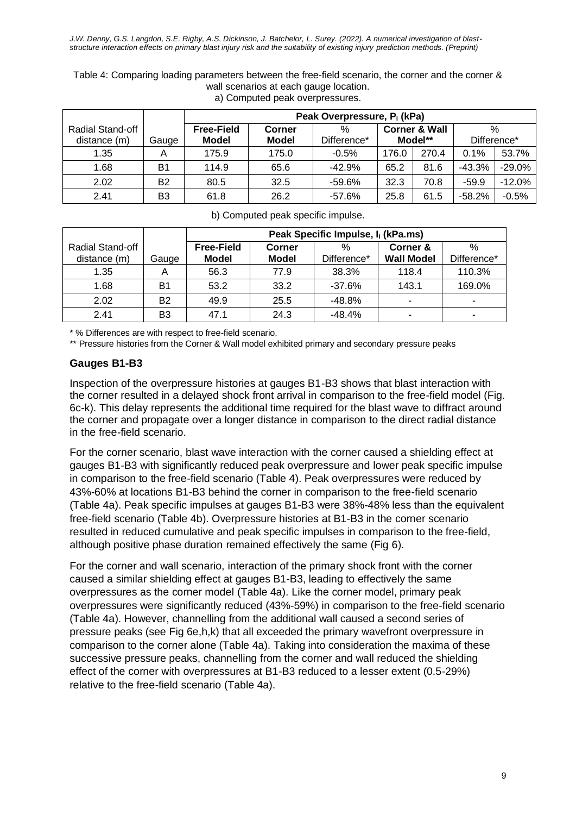|                                         |       |                                   | Peak Overpressure, P <sub>i</sub> (kPa) |                     |       |                                     |                  |          |
|-----------------------------------------|-------|-----------------------------------|-----------------------------------------|---------------------|-------|-------------------------------------|------------------|----------|
| <b>Radial Stand-off</b><br>distance (m) | Gauge | <b>Free-Field</b><br><b>Model</b> | Corner<br><b>Model</b>                  | $\%$<br>Difference* |       | <b>Corner &amp; Wall</b><br>Model** | %<br>Difference* |          |
| 1.35                                    | Α     | 175.9                             | 175.0                                   | $-0.5%$             | 176.0 | 270.4                               | 0.1%             | 53.7%    |
| 1.68                                    | B1    | 114.9                             | 65.6                                    | $-42.9%$            | 65.2  | 81.6                                | -43.3%           | -29.0%   |
| 2.02                                    | B2    | 80.5                              | 32.5                                    | $-59.6%$            | 32.3  | 70.8                                | $-59.9$          | $-12.0%$ |
| 2.41                                    | B3    | 61.8                              | 26.2                                    | $-57.6%$            | 25.8  | 61.5                                | $-58.2%$         | $-0.5%$  |

Table 4: Comparing loading parameters between the free-field scenario, the corner and the corner & wall scenarios at each gauge location. a) Computed peak overpressures.

| b) Computed peak specific impulse. |  |
|------------------------------------|--|
|------------------------------------|--|

|                                  |                | Peak Specific Impulse, I <sub>i</sub> (kPa.ms) |                 |                     |                               |                          |  |  |
|----------------------------------|----------------|------------------------------------------------|-----------------|---------------------|-------------------------------|--------------------------|--|--|
| Radial Stand-off<br>distance (m) | Gauge          | <b>Free-Field</b><br><b>Model</b>              | Corner<br>Model | $\%$<br>Difference* | Corner &<br><b>Wall Model</b> | $\%$<br>Difference*      |  |  |
| 1.35                             |                | 56.3                                           | 77.9            | 38.3%               | 118.4                         | 110.3%                   |  |  |
| 1.68                             | B1             | 53.2                                           | 33.2            | $-37.6%$            | 143.1                         | 169.0%                   |  |  |
| 2.02                             | B <sub>2</sub> | 49.9                                           | 25.5            | $-48.8%$            | $\overline{\phantom{0}}$      | $\overline{\phantom{0}}$ |  |  |
| 2.41                             | B3             | 47.1                                           | 24.3            | $-48.4%$            |                               |                          |  |  |

\* % Differences are with respect to free-field scenario.

\*\* Pressure histories from the Corner & Wall model exhibited primary and secondary pressure peaks

#### **Gauges B1-B3**

Inspection of the overpressure histories at gauges B1-B3 shows that blast interaction with the corner resulted in a delayed shock front arrival in comparison to the free-field model (Fig. 6c-k). This delay represents the additional time required for the blast wave to diffract around the corner and propagate over a longer distance in comparison to the direct radial distance in the free-field scenario.

For the corner scenario, blast wave interaction with the corner caused a shielding effect at gauges B1-B3 with significantly reduced peak overpressure and lower peak specific impulse in comparison to the free-field scenario (Table 4). Peak overpressures were reduced by 43%-60% at locations B1-B3 behind the corner in comparison to the free-field scenario (Table 4a). Peak specific impulses at gauges B1-B3 were 38%-48% less than the equivalent free-field scenario (Table 4b). Overpressure histories at B1-B3 in the corner scenario resulted in reduced cumulative and peak specific impulses in comparison to the free-field, although positive phase duration remained effectively the same (Fig 6).

For the corner and wall scenario, interaction of the primary shock front with the corner caused a similar shielding effect at gauges B1-B3, leading to effectively the same overpressures as the corner model (Table 4a). Like the corner model, primary peak overpressures were significantly reduced (43%-59%) in comparison to the free-field scenario (Table 4a). However, channelling from the additional wall caused a second series of pressure peaks (see Fig 6e,h,k) that all exceeded the primary wavefront overpressure in comparison to the corner alone (Table 4a). Taking into consideration the maxima of these successive pressure peaks, channelling from the corner and wall reduced the shielding effect of the corner with overpressures at B1-B3 reduced to a lesser extent (0.5-29%) relative to the free-field scenario (Table 4a).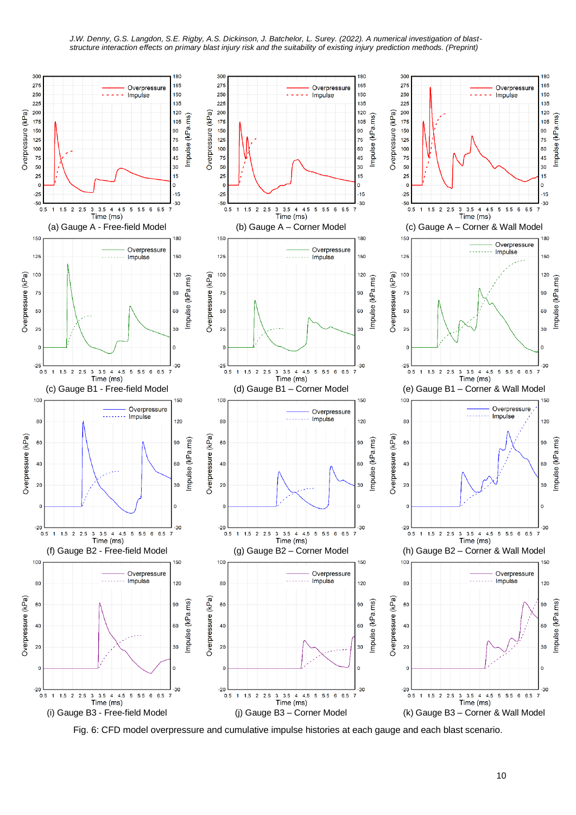

Fig. 6: CFD model overpressure and cumulative impulse histories at each gauge and each blast scenario.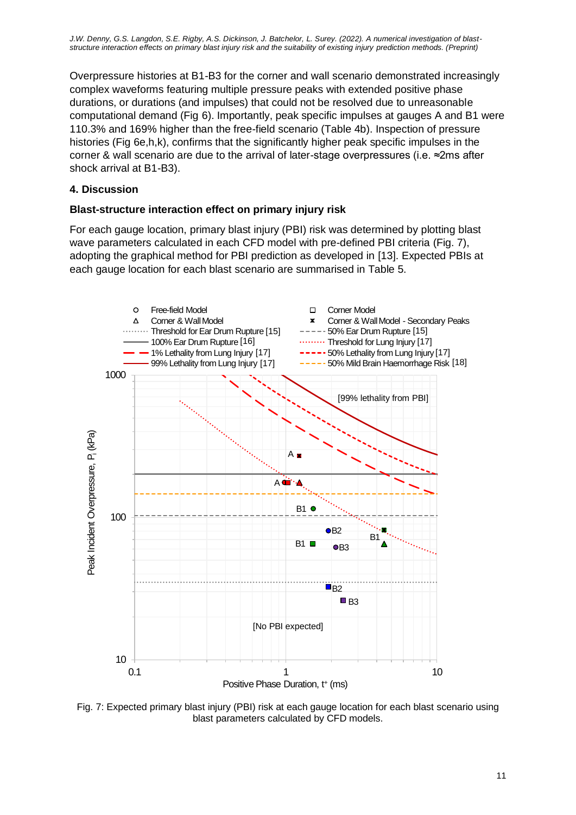Overpressure histories at B1-B3 for the corner and wall scenario demonstrated increasingly complex waveforms featuring multiple pressure peaks with extended positive phase durations, or durations (and impulses) that could not be resolved due to unreasonable computational demand (Fig 6). Importantly, peak specific impulses at gauges A and B1 were 110.3% and 169% higher than the free-field scenario (Table 4b). Inspection of pressure histories (Fig 6e,h,k), confirms that the significantly higher peak specific impulses in the corner & wall scenario are due to the arrival of later-stage overpressures (i.e. ≈2ms after shock arrival at B1-B3).

# **4. Discussion**

## **Blast-structure interaction effect on primary injury risk**

For each gauge location, primary blast injury (PBI) risk was determined by plotting blast wave parameters calculated in each CFD model with pre-defined PBI criteria (Fig. 7), adopting the graphical method for PBI prediction as developed in [13]. Expected PBIs at each gauge location for each blast scenario are summarised in Table 5.



Fig. 7: Expected primary blast injury (PBI) risk at each gauge location for each blast scenario using blast parameters calculated by CFD models.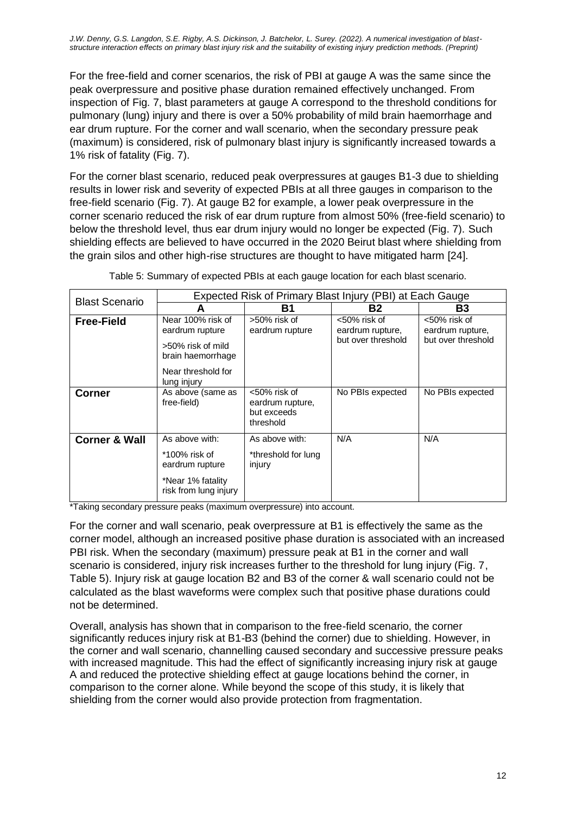*J.W. Denny, G.S. Langdon, S.E. Rigby, A.S. Dickinson, J. Batchelor, L. Surey. (2022). A numerical investigation of blaststructure interaction effects on primary blast injury risk and the suitability of existing injury prediction methods. (Preprint)*

For the free-field and corner scenarios, the risk of PBI at gauge A was the same since the peak overpressure and positive phase duration remained effectively unchanged. From inspection of Fig. 7, blast parameters at gauge A correspond to the threshold conditions for pulmonary (lung) injury and there is over a 50% probability of mild brain haemorrhage and ear drum rupture. For the corner and wall scenario, when the secondary pressure peak (maximum) is considered, risk of pulmonary blast injury is significantly increased towards a 1% risk of fatality (Fig. 7).

For the corner blast scenario, reduced peak overpressures at gauges B1-3 due to shielding results in lower risk and severity of expected PBIs at all three gauges in comparison to the free-field scenario (Fig. 7). At gauge B2 for example, a lower peak overpressure in the corner scenario reduced the risk of ear drum rupture from almost 50% (free-field scenario) to below the threshold level, thus ear drum injury would no longer be expected (Fig. 7). Such shielding effects are believed to have occurred in the 2020 Beirut blast where shielding from the grain silos and other high-rise structures are thought to have mitigated harm [24].

| <b>Blast Scenario</b>    |                                                                                                                     | Expected Risk of Primary Blast Injury (PBI) at Each Gauge    |                                                        |                                                        |  |
|--------------------------|---------------------------------------------------------------------------------------------------------------------|--------------------------------------------------------------|--------------------------------------------------------|--------------------------------------------------------|--|
|                          | A                                                                                                                   | Β1                                                           | Β2                                                     | B3                                                     |  |
| <b>Free-Field</b>        | Near 100% risk of<br>eardrum rupture<br>>50% risk of mild<br>brain haemorrhage<br>Near threshold for<br>lung injury | >50% risk of<br>eardrum rupture                              | <50% risk of<br>eardrum rupture,<br>but over threshold | <50% risk of<br>eardrum rupture,<br>but over threshold |  |
| Corner                   | As above (same as<br>free-field)                                                                                    | <50% risk of<br>eardrum rupture,<br>but exceeds<br>threshold | No PBIs expected                                       | No PBIs expected                                       |  |
| <b>Corner &amp; Wall</b> | As above with:                                                                                                      | As above with:                                               | N/A                                                    | N/A                                                    |  |
|                          | *100% risk of<br>eardrum rupture                                                                                    | *threshold for lung<br>injury                                |                                                        |                                                        |  |
|                          | *Near 1% fatality<br>risk from lung injury                                                                          |                                                              |                                                        |                                                        |  |

Table 5: Summary of expected PBIs at each gauge location for each blast scenario.

\*Taking secondary pressure peaks (maximum overpressure) into account.

For the corner and wall scenario, peak overpressure at B1 is effectively the same as the corner model, although an increased positive phase duration is associated with an increased PBI risk. When the secondary (maximum) pressure peak at B1 in the corner and wall scenario is considered, injury risk increases further to the threshold for lung injury (Fig. 7, Table 5). Injury risk at gauge location B2 and B3 of the corner & wall scenario could not be calculated as the blast waveforms were complex such that positive phase durations could not be determined.

Overall, analysis has shown that in comparison to the free-field scenario, the corner significantly reduces injury risk at B1-B3 (behind the corner) due to shielding. However, in the corner and wall scenario, channelling caused secondary and successive pressure peaks with increased magnitude. This had the effect of significantly increasing injury risk at gauge A and reduced the protective shielding effect at gauge locations behind the corner, in comparison to the corner alone. While beyond the scope of this study, it is likely that shielding from the corner would also provide protection from fragmentation.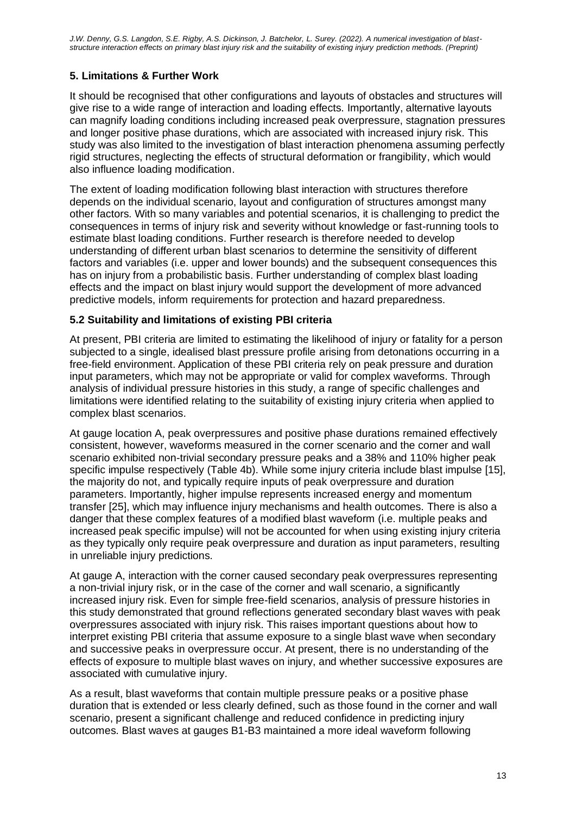# **5. Limitations & Further Work**

It should be recognised that other configurations and layouts of obstacles and structures will give rise to a wide range of interaction and loading effects. Importantly, alternative layouts can magnify loading conditions including increased peak overpressure, stagnation pressures and longer positive phase durations, which are associated with increased injury risk. This study was also limited to the investigation of blast interaction phenomena assuming perfectly rigid structures, neglecting the effects of structural deformation or frangibility, which would also influence loading modification.

The extent of loading modification following blast interaction with structures therefore depends on the individual scenario, layout and configuration of structures amongst many other factors. With so many variables and potential scenarios, it is challenging to predict the consequences in terms of injury risk and severity without knowledge or fast-running tools to estimate blast loading conditions. Further research is therefore needed to develop understanding of different urban blast scenarios to determine the sensitivity of different factors and variables (i.e. upper and lower bounds) and the subsequent consequences this has on injury from a probabilistic basis. Further understanding of complex blast loading effects and the impact on blast injury would support the development of more advanced predictive models, inform requirements for protection and hazard preparedness.

## **5.2 Suitability and limitations of existing PBI criteria**

At present, PBI criteria are limited to estimating the likelihood of injury or fatality for a person subjected to a single, idealised blast pressure profile arising from detonations occurring in a free-field environment. Application of these PBI criteria rely on peak pressure and duration input parameters, which may not be appropriate or valid for complex waveforms. Through analysis of individual pressure histories in this study, a range of specific challenges and limitations were identified relating to the suitability of existing injury criteria when applied to complex blast scenarios.

At gauge location A, peak overpressures and positive phase durations remained effectively consistent, however, waveforms measured in the corner scenario and the corner and wall scenario exhibited non-trivial secondary pressure peaks and a 38% and 110% higher peak specific impulse respectively (Table 4b). While some injury criteria include blast impulse [15], the majority do not, and typically require inputs of peak overpressure and duration parameters. Importantly, higher impulse represents increased energy and momentum transfer [25], which may influence injury mechanisms and health outcomes. There is also a danger that these complex features of a modified blast waveform (i.e. multiple peaks and increased peak specific impulse) will not be accounted for when using existing injury criteria as they typically only require peak overpressure and duration as input parameters, resulting in unreliable injury predictions.

At gauge A, interaction with the corner caused secondary peak overpressures representing a non-trivial injury risk, or in the case of the corner and wall scenario, a significantly increased injury risk. Even for simple free-field scenarios, analysis of pressure histories in this study demonstrated that ground reflections generated secondary blast waves with peak overpressures associated with injury risk. This raises important questions about how to interpret existing PBI criteria that assume exposure to a single blast wave when secondary and successive peaks in overpressure occur. At present, there is no understanding of the effects of exposure to multiple blast waves on injury, and whether successive exposures are associated with cumulative injury.

As a result, blast waveforms that contain multiple pressure peaks or a positive phase duration that is extended or less clearly defined, such as those found in the corner and wall scenario, present a significant challenge and reduced confidence in predicting injury outcomes. Blast waves at gauges B1-B3 maintained a more ideal waveform following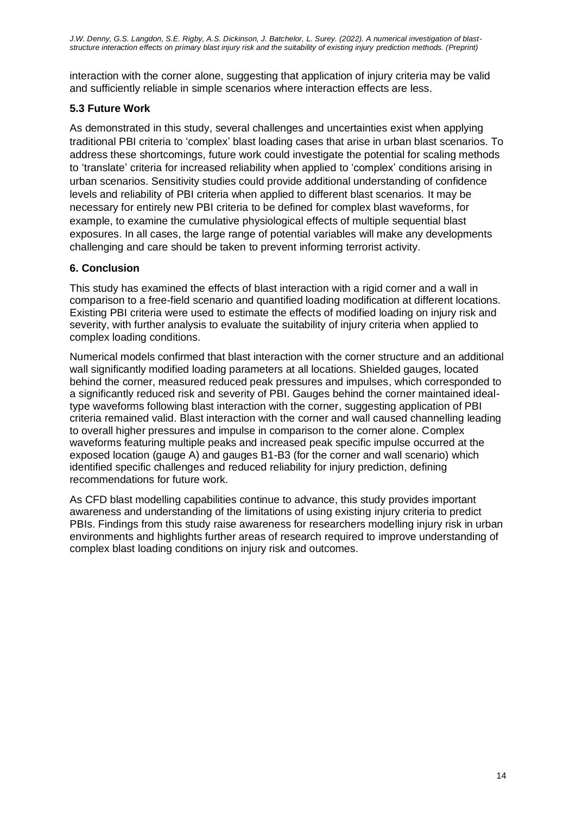interaction with the corner alone, suggesting that application of injury criteria may be valid and sufficiently reliable in simple scenarios where interaction effects are less.

# **5.3 Future Work**

As demonstrated in this study, several challenges and uncertainties exist when applying traditional PBI criteria to 'complex' blast loading cases that arise in urban blast scenarios. To address these shortcomings, future work could investigate the potential for scaling methods to 'translate' criteria for increased reliability when applied to 'complex' conditions arising in urban scenarios. Sensitivity studies could provide additional understanding of confidence levels and reliability of PBI criteria when applied to different blast scenarios. It may be necessary for entirely new PBI criteria to be defined for complex blast waveforms, for example, to examine the cumulative physiological effects of multiple sequential blast exposures. In all cases, the large range of potential variables will make any developments challenging and care should be taken to prevent informing terrorist activity.

# **6. Conclusion**

This study has examined the effects of blast interaction with a rigid corner and a wall in comparison to a free-field scenario and quantified loading modification at different locations. Existing PBI criteria were used to estimate the effects of modified loading on injury risk and severity, with further analysis to evaluate the suitability of injury criteria when applied to complex loading conditions.

Numerical models confirmed that blast interaction with the corner structure and an additional wall significantly modified loading parameters at all locations. Shielded gauges, located behind the corner, measured reduced peak pressures and impulses, which corresponded to a significantly reduced risk and severity of PBI. Gauges behind the corner maintained idealtype waveforms following blast interaction with the corner, suggesting application of PBI criteria remained valid. Blast interaction with the corner and wall caused channelling leading to overall higher pressures and impulse in comparison to the corner alone. Complex waveforms featuring multiple peaks and increased peak specific impulse occurred at the exposed location (gauge A) and gauges B1-B3 (for the corner and wall scenario) which identified specific challenges and reduced reliability for injury prediction, defining recommendations for future work.

As CFD blast modelling capabilities continue to advance, this study provides important awareness and understanding of the limitations of using existing injury criteria to predict PBIs. Findings from this study raise awareness for researchers modelling injury risk in urban environments and highlights further areas of research required to improve understanding of complex blast loading conditions on injury risk and outcomes.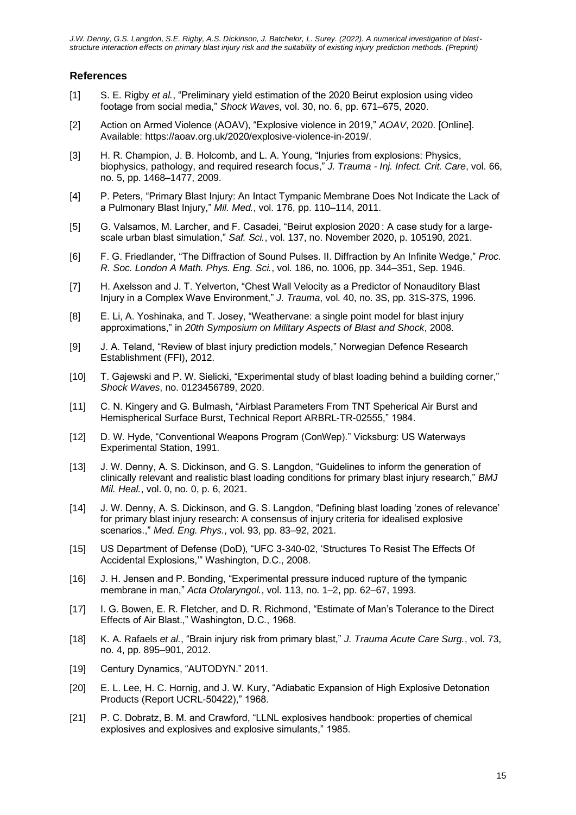#### **References**

- [1] S. E. Rigby *et al.*, "Preliminary yield estimation of the 2020 Beirut explosion using video footage from social media," *Shock Waves*, vol. 30, no. 6, pp. 671–675, 2020.
- [2] Action on Armed Violence (AOAV), "Explosive violence in 2019," *AOAV*, 2020. [Online]. Available: https://aoav.org.uk/2020/explosive-violence-in-2019/.
- [3] H. R. Champion, J. B. Holcomb, and L. A. Young, "Injuries from explosions: Physics, biophysics, pathology, and required research focus," *J. Trauma - Inj. Infect. Crit. Care*, vol. 66, no. 5, pp. 1468–1477, 2009.
- [4] P. Peters, "Primary Blast Injury: An Intact Tympanic Membrane Does Not Indicate the Lack of a Pulmonary Blast Injury," *Mil. Med.*, vol. 176, pp. 110–114, 2011.
- [5] G. Valsamos, M. Larcher, and F. Casadei, "Beirut explosion 2020 : A case study for a largescale urban blast simulation," *Saf. Sci.*, vol. 137, no. November 2020, p. 105190, 2021.
- [6] F. G. Friedlander, "The Diffraction of Sound Pulses. II. Diffraction by An Infinite Wedge," *Proc. R. Soc. London A Math. Phys. Eng. Sci.*, vol. 186, no. 1006, pp. 344–351, Sep. 1946.
- [7] H. Axelsson and J. T. Yelverton, "Chest Wall Velocity as a Predictor of Nonauditory Blast Injury in a Complex Wave Environment," *J. Trauma*, vol. 40, no. 3S, pp. 31S-37S, 1996.
- [8] E. Li, A. Yoshinaka, and T. Josey, "Weathervane: a single point model for blast injury approximations," in *20th Symposium on Military Aspects of Blast and Shock*, 2008.
- [9] J. A. Teland, "Review of blast injury prediction models," Norwegian Defence Research Establishment (FFI), 2012.
- [10] T. Gajewski and P. W. Sielicki, "Experimental study of blast loading behind a building corner," *Shock Waves*, no. 0123456789, 2020.
- [11] C. N. Kingery and G. Bulmash, "Airblast Parameters From TNT Speherical Air Burst and Hemispherical Surface Burst, Technical Report ARBRL-TR-02555," 1984.
- [12] D. W. Hyde, "Conventional Weapons Program (ConWep)." Vicksburg: US Waterways Experimental Station, 1991.
- [13] J. W. Denny, A. S. Dickinson, and G. S. Langdon, "Guidelines to inform the generation of clinically relevant and realistic blast loading conditions for primary blast injury research," *BMJ Mil. Heal.*, vol. 0, no. 0, p. 6, 2021.
- [14] J. W. Denny, A. S. Dickinson, and G. S. Langdon, "Defining blast loading 'zones of relevance' for primary blast injury research: A consensus of injury criteria for idealised explosive scenarios.," *Med. Eng. Phys.*, vol. 93, pp. 83–92, 2021.
- [15] US Department of Defense (DoD), "UFC 3-340-02, 'Structures To Resist The Effects Of Accidental Explosions,'" Washington, D.C., 2008.
- [16] J. H. Jensen and P. Bonding, "Experimental pressure induced rupture of the tympanic membrane in man," *Acta Otolaryngol.*, vol. 113, no. 1–2, pp. 62–67, 1993.
- [17] I. G. Bowen, E. R. Fletcher, and D. R. Richmond, "Estimate of Man's Tolerance to the Direct Effects of Air Blast.," Washington, D.C., 1968.
- [18] K. A. Rafaels *et al.*, "Brain injury risk from primary blast," *J. Trauma Acute Care Surg.*, vol. 73, no. 4, pp. 895–901, 2012.
- [19] Century Dynamics, "AUTODYN." 2011.
- [20] E. L. Lee, H. C. Hornig, and J. W. Kury, "Adiabatic Expansion of High Explosive Detonation Products (Report UCRL-50422)," 1968.
- [21] P. C. Dobratz, B. M. and Crawford, "LLNL explosives handbook: properties of chemical explosives and explosives and explosive simulants," 1985.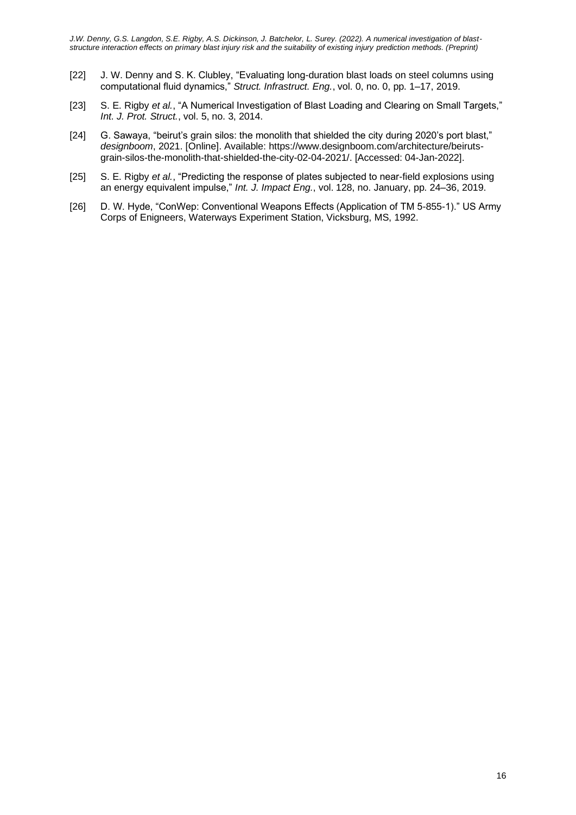- [22] J. W. Denny and S. K. Clubley, "Evaluating long-duration blast loads on steel columns using computational fluid dynamics," *Struct. Infrastruct. Eng.*, vol. 0, no. 0, pp. 1–17, 2019.
- [23] S. E. Rigby *et al.*, "A Numerical Investigation of Blast Loading and Clearing on Small Targets," *Int. J. Prot. Struct.*, vol. 5, no. 3, 2014.
- [24] G. Sawaya, "beirut's grain silos: the monolith that shielded the city during 2020's port blast," *designboom*, 2021. [Online]. Available: https://www.designboom.com/architecture/beirutsgrain-silos-the-monolith-that-shielded-the-city-02-04-2021/. [Accessed: 04-Jan-2022].
- [25] S. E. Rigby *et al.*, "Predicting the response of plates subjected to near-field explosions using an energy equivalent impulse," *Int. J. Impact Eng.*, vol. 128, no. January, pp. 24–36, 2019.
- [26] D. W. Hyde, "ConWep: Conventional Weapons Effects (Application of TM 5-855-1)." US Army Corps of Enigneers, Waterways Experiment Station, Vicksburg, MS, 1992.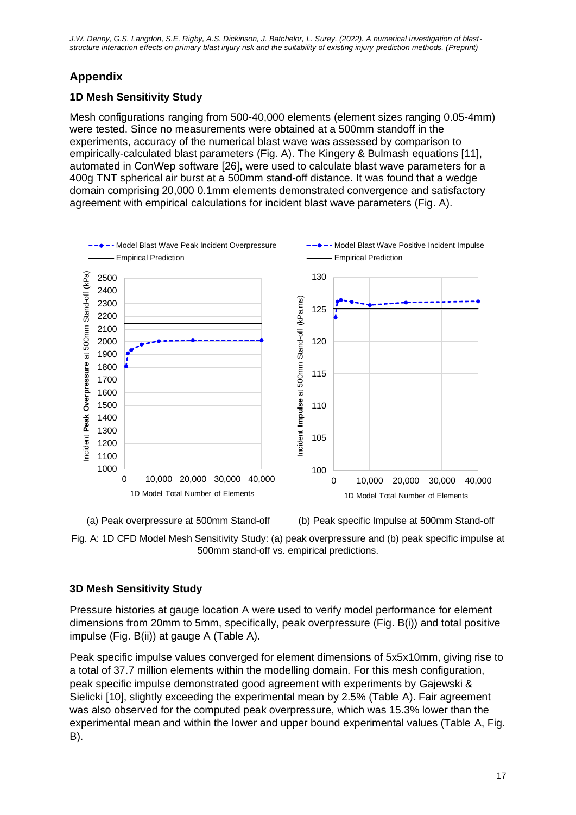# **Appendix**

# **1D Mesh Sensitivity Study**

Mesh configurations ranging from 500-40,000 elements (element sizes ranging 0.05-4mm) were tested. Since no measurements were obtained at a 500mm standoff in the experiments, accuracy of the numerical blast wave was assessed by comparison to empirically-calculated blast parameters (Fig. A). The Kingery & Bulmash equations [11], automated in ConWep software [26], were used to calculate blast wave parameters for a 400g TNT spherical air burst at a 500mm stand-off distance. It was found that a wedge domain comprising 20,000 0.1mm elements demonstrated convergence and satisfactory agreement with empirical calculations for incident blast wave parameters (Fig. A).



(a) Peak overpressure at 500mm Stand-off (b) Peak specific Impulse at 500mm Stand-off



# **3D Mesh Sensitivity Study**

Pressure histories at gauge location A were used to verify model performance for element dimensions from 20mm to 5mm, specifically, peak overpressure (Fig. B(i)) and total positive impulse (Fig. B(ii)) at gauge A (Table A).

Peak specific impulse values converged for element dimensions of 5x5x10mm, giving rise to a total of 37.7 million elements within the modelling domain. For this mesh configuration, peak specific impulse demonstrated good agreement with experiments by Gajewski & Sielicki [10], slightly exceeding the experimental mean by 2.5% (Table A). Fair agreement was also observed for the computed peak overpressure, which was 15.3% lower than the experimental mean and within the lower and upper bound experimental values (Table A, Fig. B).